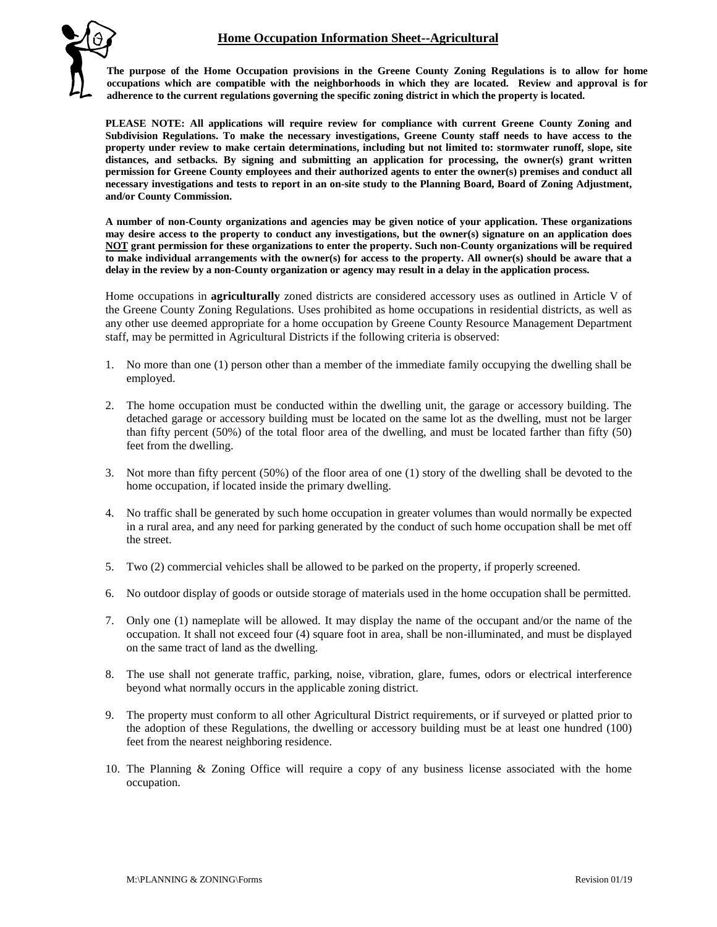## **Home Occupation Information Sheet--Agricultural**



**The purpose of the Home Occupation provisions in the Greene County Zoning Regulations is to allow for home occupations which are compatible with the neighborhoods in which they are located. Review and approval is for adherence to the current regulations governing the specific zoning district in which the property is located.**

**PLEASE NOTE: All applications will require review for compliance with current Greene County Zoning and Subdivision Regulations. To make the necessary investigations, Greene County staff needs to have access to the property under review to make certain determinations, including but not limited to: stormwater runoff, slope, site distances, and setbacks. By signing and submitting an application for processing, the owner(s) grant written permission for Greene County employees and their authorized agents to enter the owner(s) premises and conduct all necessary investigations and tests to report in an on-site study to the Planning Board, Board of Zoning Adjustment, and/or County Commission.**

**A number of non-County organizations and agencies may be given notice of your application. These organizations may desire access to the property to conduct any investigations, but the owner(s) signature on an application does NOT grant permission for these organizations to enter the property. Such non-County organizations will be required to make individual arrangements with the owner(s) for access to the property. All owner(s) should be aware that a delay in the review by a non-County organization or agency may result in a delay in the application process.**

Home occupations in **agriculturally** zoned districts are considered accessory uses as outlined in Article V of the Greene County Zoning Regulations. Uses prohibited as home occupations in residential districts, as well as any other use deemed appropriate for a home occupation by Greene County Resource Management Department staff, may be permitted in Agricultural Districts if the following criteria is observed:

- 1. No more than one (1) person other than a member of the immediate family occupying the dwelling shall be employed.
- 2. The home occupation must be conducted within the dwelling unit, the garage or accessory building. The detached garage or accessory building must be located on the same lot as the dwelling, must not be larger than fifty percent (50%) of the total floor area of the dwelling, and must be located farther than fifty (50) feet from the dwelling.
- 3. Not more than fifty percent (50%) of the floor area of one (1) story of the dwelling shall be devoted to the home occupation, if located inside the primary dwelling.
- 4. No traffic shall be generated by such home occupation in greater volumes than would normally be expected in a rural area, and any need for parking generated by the conduct of such home occupation shall be met off the street.
- 5. Two (2) commercial vehicles shall be allowed to be parked on the property, if properly screened.
- 6. No outdoor display of goods or outside storage of materials used in the home occupation shall be permitted.
- 7. Only one (1) nameplate will be allowed. It may display the name of the occupant and/or the name of the occupation. It shall not exceed four (4) square foot in area, shall be non-illuminated, and must be displayed on the same tract of land as the dwelling.
- 8. The use shall not generate traffic, parking, noise, vibration, glare, fumes, odors or electrical interference beyond what normally occurs in the applicable zoning district.
- 9. The property must conform to all other Agricultural District requirements, or if surveyed or platted prior to the adoption of these Regulations, the dwelling or accessory building must be at least one hundred (100) feet from the nearest neighboring residence.
- 10. The Planning & Zoning Office will require a copy of any business license associated with the home occupation.